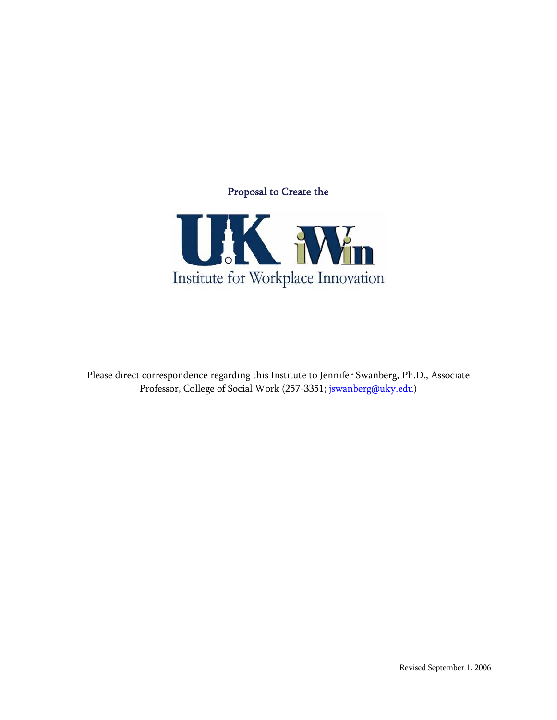# Proposal to Create the



Please direct correspondence regarding this Institute to Jennifer Swanberg, Ph.D., Associate Professor, College of Social Work (257-3351; jswanberg@uky.edu)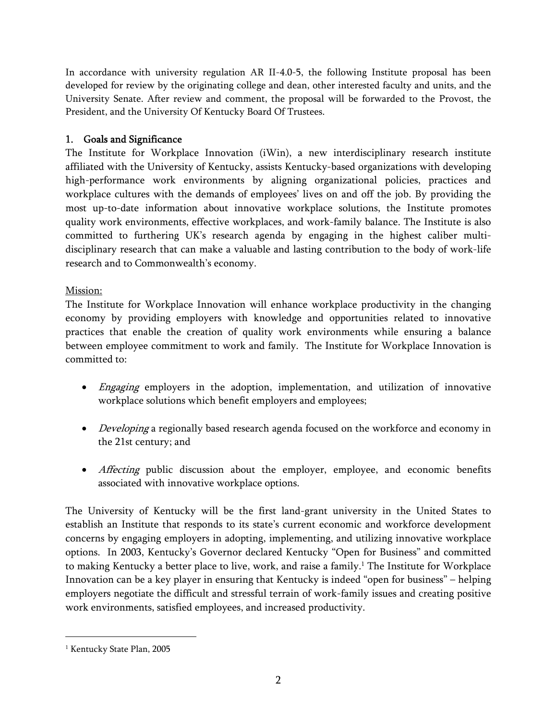In accordance with university regulation AR II-4.0-5, the following Institute proposal has been developed for review by the originating college and dean, other interested faculty and units, and the University Senate. After review and comment, the proposal will be forwarded to the Provost, the President, and the University Of Kentucky Board Of Trustees.

# 1. Goals and Significance

The Institute for Workplace Innovation (iWin), a new interdisciplinary research institute affiliated with the University of Kentucky, assists Kentucky-based organizations with developing high-performance work environments by aligning organizational policies, practices and workplace cultures with the demands of employees' lives on and off the job. By providing the most up-to-date information about innovative workplace solutions, the Institute promotes quality work environments, effective workplaces, and work-family balance. The Institute is also committed to furthering UK's research agenda by engaging in the highest caliber multidisciplinary research that can make a valuable and lasting contribution to the body of work-life research and to Commonwealth's economy.

## Mission:

The Institute for Workplace Innovation will enhance workplace productivity in the changing economy by providing employers with knowledge and opportunities related to innovative practices that enable the creation of quality work environments while ensuring a balance between employee commitment to work and family. The Institute for Workplace Innovation is committed to:

- *Engaging* employers in the adoption, implementation, and utilization of innovative workplace solutions which benefit employers and employees;
- *Developing* a regionally based research agenda focused on the workforce and economy in the 21st century; and
- Affecting public discussion about the employer, employee, and economic benefits associated with innovative workplace options.

The University of Kentucky will be the first land-grant university in the United States to establish an Institute that responds to its state's current economic and workforce development concerns by engaging employers in adopting, implementing, and utilizing innovative workplace options. In 2003, Kentucky's Governor declared Kentucky "Open for Business" and committed to making Kentucky a better place to live, work, and raise a family.<sup>1</sup> The Institute for Workplace Innovation can be a key player in ensuring that Kentucky is indeed "open for business" – helping employers negotiate the difficult and stressful terrain of work-family issues and creating positive work environments, satisfied employees, and increased productivity.

 $\overline{a}$ 

<sup>&</sup>lt;sup>1</sup> Kentucky State Plan, 2005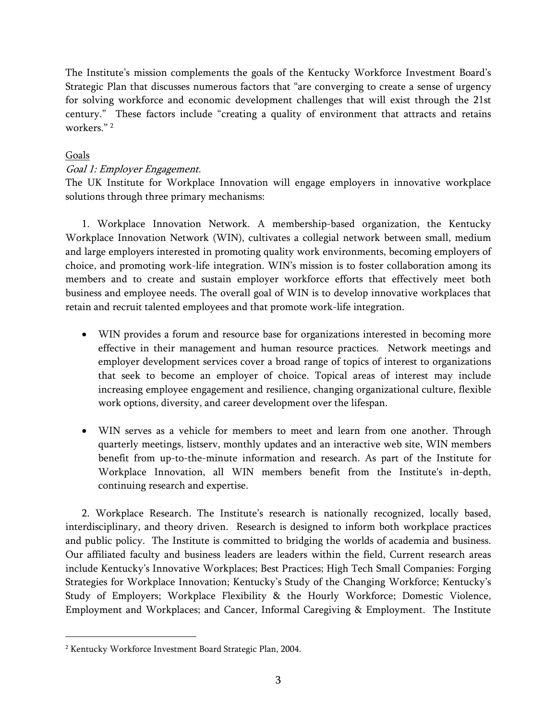The Institute's mission complements the goals of the Kentucky Workforce Investment Board's Strategic Plan that discusses numerous factors that "are converging to create a sense of urgency for solving workforce and economic development challenges that will exist through the 21st century." These factors include "creating a quality of environment that attracts and retains workers<sup>" 2</sup>

### Goals

 $\overline{a}$ 

### Goal 1: Employer Engagement.

The UK Institute for Workplace Innovation will engage employers in innovative workplace solutions through three primary mechanisms:

1. Workplace Innovation Network. A membership-based organization, the Kentucky Workplace Innovation Network (WIN), cultivates a collegial network between small, medium and large employers interested in promoting quality work environments, becoming employers of choice, and promoting work-life integration. WIN's mission is to foster collaboration among its members and to create and sustain employer workforce efforts that effectively meet both business and employee needs. The overall goal of WIN is to develop innovative workplaces that retain and recruit talented employees and that promote work-life integration.

- WIN provides a forum and resource base for organizations interested in becoming more effective in their management and human resource practices. Network meetings and employer development services cover a broad range of topics of interest to organizations that seek to become an employer of choice. Topical areas of interest may include increasing employee engagement and resilience, changing organizational culture, flexible work options, diversity, and career development over the lifespan.
- WIN serves as a vehicle for members to meet and learn from one another. Through quarterly meetings, listserv, monthly updates and an interactive web site, WIN members benefit from up-to-the-minute information and research. As part of the Institute for Workplace Innovation, all WIN members benefit from the Institute's in-depth, continuing research and expertise.

2. Workplace Research. The Institute's research is nationally recognized, locally based, interdisciplinary, and theory driven. Research is designed to inform both workplace practices and public policy. The Institute is committed to bridging the worlds of academia and business. Our affiliated faculty and business leaders are leaders within the field, Current research areas include Kentucky's Innovative Workplaces; Best Practices; High Tech Small Companies: Forging Strategies for Workplace Innovation; Kentucky's Study of the Changing Workforce; Kentucky's Study of Employers; Workplace Flexibility & the Hourly Workforce; Domestic Violence, Employment and Workplaces; and Cancer, Informal Caregiving & Employment. The Institute

<sup>2</sup> Kentucky Workforce Investment Board Strategic Plan, 2004.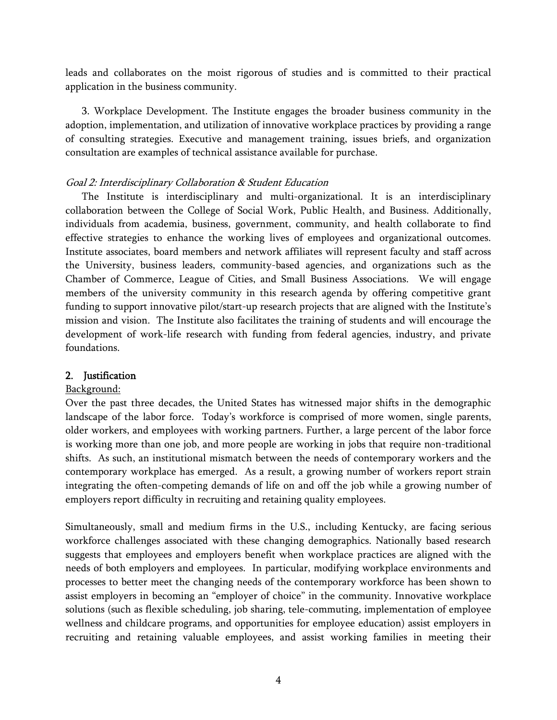leads and collaborates on the moist rigorous of studies and is committed to their practical application in the business community.

3. Workplace Development. The Institute engages the broader business community in the adoption, implementation, and utilization of innovative workplace practices by providing a range of consulting strategies. Executive and management training, issues briefs, and organization consultation are examples of technical assistance available for purchase.

#### Goal 2: Interdisciplinary Collaboration & Student Education

The Institute is interdisciplinary and multi-organizational. It is an interdisciplinary collaboration between the College of Social Work, Public Health, and Business. Additionally, individuals from academia, business, government, community, and health collaborate to find effective strategies to enhance the working lives of employees and organizational outcomes. Institute associates, board members and network affiliates will represent faculty and staff across the University, business leaders, community-based agencies, and organizations such as the Chamber of Commerce, League of Cities, and Small Business Associations. We will engage members of the university community in this research agenda by offering competitive grant funding to support innovative pilot/start-up research projects that are aligned with the Institute's mission and vision. The Institute also facilitates the training of students and will encourage the development of work-life research with funding from federal agencies, industry, and private foundations.

#### 2. Justification

#### Background:

Over the past three decades, the United States has witnessed major shifts in the demographic landscape of the labor force. Today's workforce is comprised of more women, single parents, older workers, and employees with working partners. Further, a large percent of the labor force is working more than one job, and more people are working in jobs that require non-traditional shifts. As such, an institutional mismatch between the needs of contemporary workers and the contemporary workplace has emerged. As a result, a growing number of workers report strain integrating the often-competing demands of life on and off the job while a growing number of employers report difficulty in recruiting and retaining quality employees.

Simultaneously, small and medium firms in the U.S., including Kentucky, are facing serious workforce challenges associated with these changing demographics. Nationally based research suggests that employees and employers benefit when workplace practices are aligned with the needs of both employers and employees. In particular, modifying workplace environments and processes to better meet the changing needs of the contemporary workforce has been shown to assist employers in becoming an "employer of choice" in the community. Innovative workplace solutions (such as flexible scheduling, job sharing, tele-commuting, implementation of employee wellness and childcare programs, and opportunities for employee education) assist employers in recruiting and retaining valuable employees, and assist working families in meeting their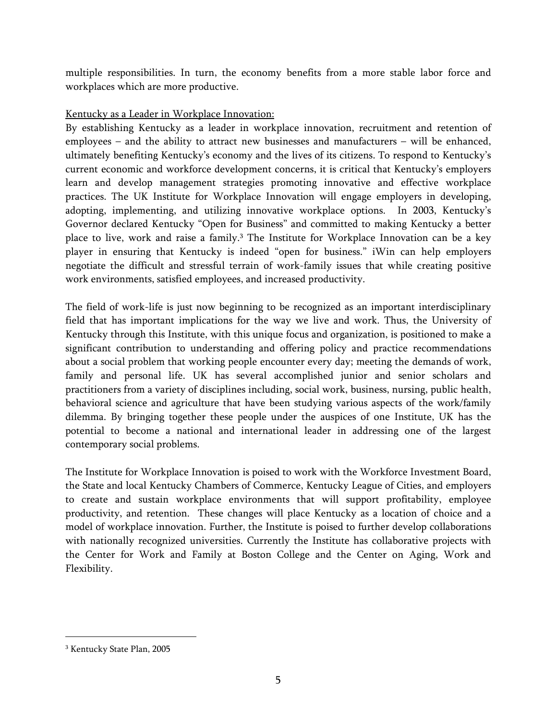multiple responsibilities. In turn, the economy benefits from a more stable labor force and workplaces which are more productive.

### Kentucky as a Leader in Workplace Innovation:

By establishing Kentucky as a leader in workplace innovation, recruitment and retention of employees – and the ability to attract new businesses and manufacturers – will be enhanced, ultimately benefiting Kentucky's economy and the lives of its citizens. To respond to Kentucky's current economic and workforce development concerns, it is critical that Kentucky's employers learn and develop management strategies promoting innovative and effective workplace practices. The UK Institute for Workplace Innovation will engage employers in developing, adopting, implementing, and utilizing innovative workplace options. In 2003, Kentucky's Governor declared Kentucky "Open for Business" and committed to making Kentucky a better place to live, work and raise a family.<sup>3</sup> The Institute for Workplace Innovation can be a key player in ensuring that Kentucky is indeed "open for business." iWin can help employers negotiate the difficult and stressful terrain of work-family issues that while creating positive work environments, satisfied employees, and increased productivity.

The field of work-life is just now beginning to be recognized as an important interdisciplinary field that has important implications for the way we live and work. Thus, the University of Kentucky through this Institute, with this unique focus and organization, is positioned to make a significant contribution to understanding and offering policy and practice recommendations about a social problem that working people encounter every day; meeting the demands of work, family and personal life. UK has several accomplished junior and senior scholars and practitioners from a variety of disciplines including, social work, business, nursing, public health, behavioral science and agriculture that have been studying various aspects of the work/family dilemma. By bringing together these people under the auspices of one Institute, UK has the potential to become a national and international leader in addressing one of the largest contemporary social problems.

The Institute for Workplace Innovation is poised to work with the Workforce Investment Board, the State and local Kentucky Chambers of Commerce, Kentucky League of Cities, and employers to create and sustain workplace environments that will support profitability, employee productivity, and retention. These changes will place Kentucky as a location of choice and a model of workplace innovation. Further, the Institute is poised to further develop collaborations with nationally recognized universities. Currently the Institute has collaborative projects with the Center for Work and Family at Boston College and the Center on Aging, Work and Flexibility.

 $\overline{a}$ 

<sup>3</sup> Kentucky State Plan, 2005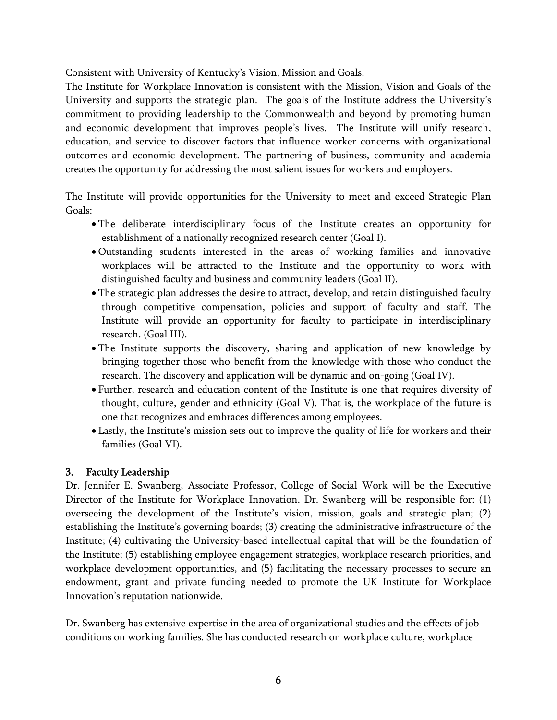Consistent with University of Kentucky's Vision, Mission and Goals:

The Institute for Workplace Innovation is consistent with the Mission, Vision and Goals of the University and supports the strategic plan. The goals of the Institute address the University's commitment to providing leadership to the Commonwealth and beyond by promoting human and economic development that improves people's lives. The Institute will unify research, education, and service to discover factors that influence worker concerns with organizational outcomes and economic development. The partnering of business, community and academia creates the opportunity for addressing the most salient issues for workers and employers.

The Institute will provide opportunities for the University to meet and exceed Strategic Plan Goals:

- The deliberate interdisciplinary focus of the Institute creates an opportunity for establishment of a nationally recognized research center (Goal I).
- Outstanding students interested in the areas of working families and innovative workplaces will be attracted to the Institute and the opportunity to work with distinguished faculty and business and community leaders (Goal II).
- The strategic plan addresses the desire to attract, develop, and retain distinguished faculty through competitive compensation, policies and support of faculty and staff. The Institute will provide an opportunity for faculty to participate in interdisciplinary research. (Goal III).
- The Institute supports the discovery, sharing and application of new knowledge by bringing together those who benefit from the knowledge with those who conduct the research. The discovery and application will be dynamic and on-going (Goal IV).
- Further, research and education content of the Institute is one that requires diversity of thought, culture, gender and ethnicity (Goal V). That is, the workplace of the future is one that recognizes and embraces differences among employees.
- Lastly, the Institute's mission sets out to improve the quality of life for workers and their families (Goal VI).

# 3. Faculty Leadership

Dr. Jennifer E. Swanberg, Associate Professor, College of Social Work will be the Executive Director of the Institute for Workplace Innovation. Dr. Swanberg will be responsible for: (1) overseeing the development of the Institute's vision, mission, goals and strategic plan; (2) establishing the Institute's governing boards; (3) creating the administrative infrastructure of the Institute; (4) cultivating the University-based intellectual capital that will be the foundation of the Institute; (5) establishing employee engagement strategies, workplace research priorities, and workplace development opportunities, and (5) facilitating the necessary processes to secure an endowment, grant and private funding needed to promote the UK Institute for Workplace Innovation's reputation nationwide.

Dr. Swanberg has extensive expertise in the area of organizational studies and the effects of job conditions on working families. She has conducted research on workplace culture, workplace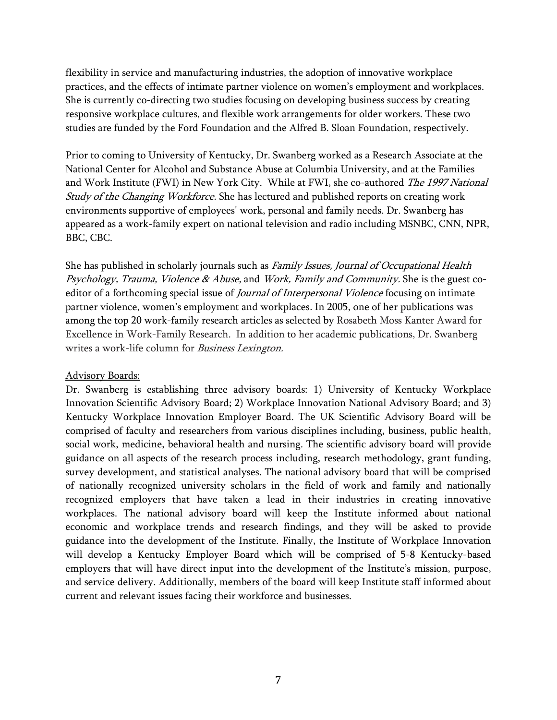flexibility in service and manufacturing industries, the adoption of innovative workplace practices, and the effects of intimate partner violence on women's employment and workplaces. She is currently co-directing two studies focusing on developing business success by creating responsive workplace cultures, and flexible work arrangements for older workers. These two studies are funded by the Ford Foundation and the Alfred B. Sloan Foundation, respectively.

Prior to coming to University of Kentucky, Dr. Swanberg worked as a Research Associate at the National Center for Alcohol and Substance Abuse at Columbia University, and at the Families and Work Institute (FWI) in New York City. While at FWI, she co-authored The 1997 National Study of the Changing Workforce. She has lectured and published reports on creating work environments supportive of employees' work, personal and family needs. Dr. Swanberg has appeared as a work-family expert on national television and radio including MSNBC, CNN, NPR, BBC, CBC.

She has published in scholarly journals such as Family Issues, Journal of Occupational Health Psychology, Trauma, Violence & Abuse, and Work, Family and Community. She is the guest coeditor of a forthcoming special issue of *Journal of Interpersonal Violence* focusing on intimate partner violence, women's employment and workplaces. In 2005, one of her publications was among the top 20 work-family research articles as selected by Rosabeth Moss Kanter Award for Excellence in Work-Family Research. In addition to her academic publications, Dr. Swanberg writes a work-life column for *Business Lexington*.

#### Advisory Boards:

Dr. Swanberg is establishing three advisory boards: 1) University of Kentucky Workplace Innovation Scientific Advisory Board; 2) Workplace Innovation National Advisory Board; and 3) Kentucky Workplace Innovation Employer Board. The UK Scientific Advisory Board will be comprised of faculty and researchers from various disciplines including, business, public health, social work, medicine, behavioral health and nursing. The scientific advisory board will provide guidance on all aspects of the research process including, research methodology, grant funding, survey development, and statistical analyses. The national advisory board that will be comprised of nationally recognized university scholars in the field of work and family and nationally recognized employers that have taken a lead in their industries in creating innovative workplaces. The national advisory board will keep the Institute informed about national economic and workplace trends and research findings, and they will be asked to provide guidance into the development of the Institute. Finally, the Institute of Workplace Innovation will develop a Kentucky Employer Board which will be comprised of 5-8 Kentucky-based employers that will have direct input into the development of the Institute's mission, purpose, and service delivery. Additionally, members of the board will keep Institute staff informed about current and relevant issues facing their workforce and businesses.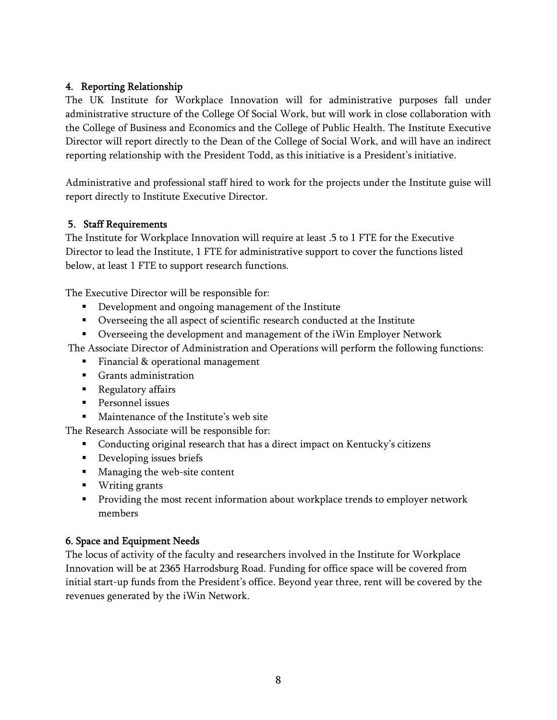# 4. Reporting Relationship

The UK Institute for Workplace Innovation will for administrative purposes fall under administrative structure of the College Of Social Work, but will work in close collaboration with the College of Business and Economics and the College of Public Health. The Institute Executive Director will report directly to the Dean of the College of Social Work, and will have an indirect reporting relationship with the President Todd, as this initiative is a President's initiative.

Administrative and professional staff hired to work for the projects under the Institute guise will report directly to Institute Executive Director.

# 5. Staff Requirements

The Institute for Workplace Innovation will require at least .5 to 1 FTE for the Executive Director to lead the Institute, 1 FTE for administrative support to cover the functions listed below, at least 1 FTE to support research functions.

The Executive Director will be responsible for:

- **•** Development and ongoing management of the Institute
- Overseeing the all aspect of scientific research conducted at the Institute
- Overseeing the development and management of the iWin Employer Network

The Associate Director of Administration and Operations will perform the following functions:

- **Financial & operational management**
- Grants administration
- **Regulatory affairs**
- **Personnel issues**
- **Maintenance of the Institute's web site**

The Research Associate will be responsible for:

- Conducting original research that has a direct impact on Kentucky's citizens
- **Developing issues briefs**
- **Managing the web-site content**
- **Writing grants**
- **Providing the most recent information about workplace trends to employer network** members

## 6. Space and Equipment Needs

The locus of activity of the faculty and researchers involved in the Institute for Workplace Innovation will be at 2365 Harrodsburg Road. Funding for office space will be covered from initial start-up funds from the President's office. Beyond year three, rent will be covered by the revenues generated by the iWin Network.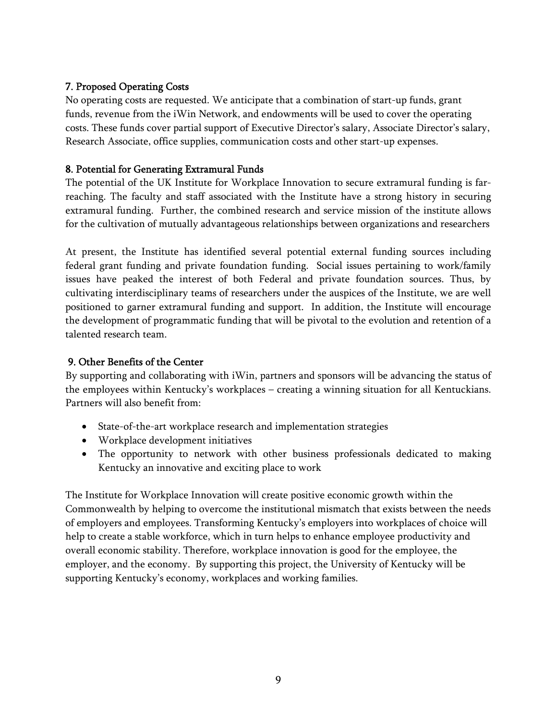## 7. Proposed Operating Costs

No operating costs are requested. We anticipate that a combination of start-up funds, grant funds, revenue from the iWin Network, and endowments will be used to cover the operating costs. These funds cover partial support of Executive Director's salary, Associate Director's salary, Research Associate, office supplies, communication costs and other start-up expenses.

## 8. Potential for Generating Extramural Funds

The potential of the UK Institute for Workplace Innovation to secure extramural funding is farreaching. The faculty and staff associated with the Institute have a strong history in securing extramural funding. Further, the combined research and service mission of the institute allows for the cultivation of mutually advantageous relationships between organizations and researchers

At present, the Institute has identified several potential external funding sources including federal grant funding and private foundation funding. Social issues pertaining to work/family issues have peaked the interest of both Federal and private foundation sources. Thus, by cultivating interdisciplinary teams of researchers under the auspices of the Institute, we are well positioned to garner extramural funding and support. In addition, the Institute will encourage the development of programmatic funding that will be pivotal to the evolution and retention of a talented research team.

# 9. Other Benefits of the Center

By supporting and collaborating with iWin, partners and sponsors will be advancing the status of the employees within Kentucky's workplaces – creating a winning situation for all Kentuckians. Partners will also benefit from:

- State-of-the-art workplace research and implementation strategies
- Workplace development initiatives
- The opportunity to network with other business professionals dedicated to making Kentucky an innovative and exciting place to work

The Institute for Workplace Innovation will create positive economic growth within the Commonwealth by helping to overcome the institutional mismatch that exists between the needs of employers and employees. Transforming Kentucky's employers into workplaces of choice will help to create a stable workforce, which in turn helps to enhance employee productivity and overall economic stability. Therefore, workplace innovation is good for the employee, the employer, and the economy. By supporting this project, the University of Kentucky will be supporting Kentucky's economy, workplaces and working families.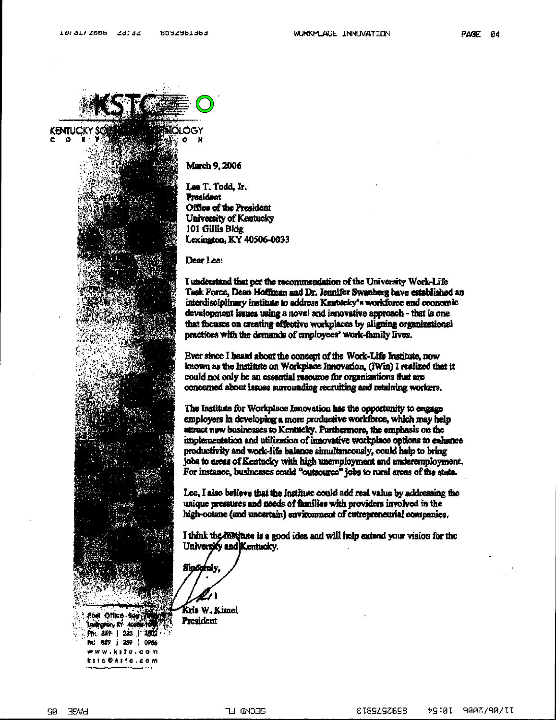

**March 9, 2006** 

N

Lee T. Todd. Ir. **President** Office of the President University of Kentucky 101 Gillis Bldg Lexington, KY 40506-0033

Dear Lee:

I understand that per the recommendation of the University Work-Life Tesk Force, Dean Hoffman and Dr. Jennifer Swannerg have established an interdisciplinary institute to address Kentucky's workforce and coonomic development issues using a novel and impovative approach - that is one that focuses on creating effective workplaces by aligning organizational practices with the demands of employees' work-family lives.

Ever since I heard about the concept of the Work-Life Institute, now known as the Institute on Workplace Innovation, (iWin) I realized that it could not only be an essential resource for organizations that are concerned about issues surrounding recruiting and retaining workers.

The Institute for Workplace Innovation has the opportunity to engage employers in developing a more productive workforce, which may help attract new businesses to Kentucky. Furthermore, the emphasis on the implementation and utilization of innovative workplace options to exhance productivity and work-life balance simultaneously, could help to bring jobs to areas of Kentucky with high unemployment and underemployment. For instance, businesses could "outsource" jobs to rural areas of the state.

Lee, I also believe that the Institute could add real value by addressing the unique pressures and needs of families with providers involved in the high-octane (and uncertain) environment of entrepreneurial companies.

I think the matitute is a good idea and will help extend your vision for the University and Kentucky.

Sindorely.

Kris W. Kimel President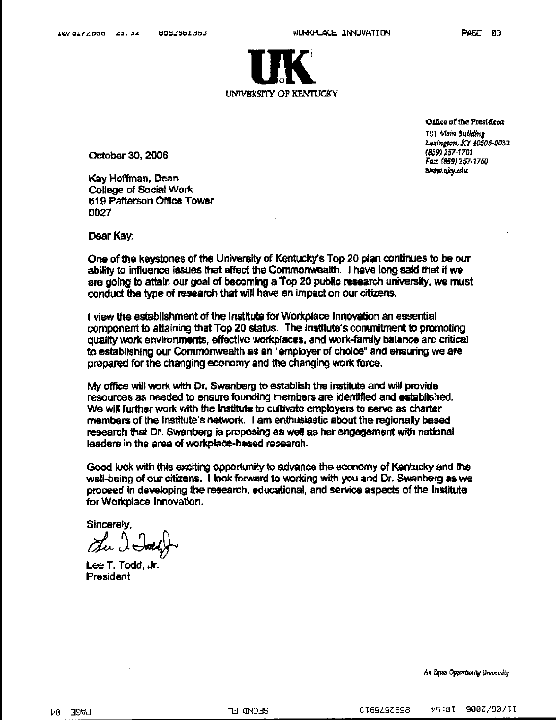

October 30, 2006

Kay Hoffman, Dean **College of Social Work** 619 Patterson Office Tower 0027

Office of the President 101 Main Building Lexington, KY 40506-0032 (859) 257-1701 Fax: (859) 257-1760 www.uky.edu

Dear Kay:

One of the keystones of the University of Kentucky's Top 20 plan continues to be our ability to influence issues that affect the Commonwealth. I have long said that if we are going to attain our goal of becoming a Top 20 public research university, we must conduct the type of research that will have an impact on our citizens.

I view the establishment of the Institute for Workplace Innovation an essential component to attaining that Top 20 status. The Institute's commitment to promoting quality work environments, effective workplaces, and work-family balance are critical to establishing our Commonwealth as an "employer of choice" and ensuring we are prepared for the changing economy and the changing work force.

My office will work with Dr. Swanberg to establish the institute and will provide resources as needed to ensure founding members are identified and established. We will further work with the institute to cultivate employers to serve as charter members of the institute's network. I am enthusiastic about the regionally based research that Dr. Swanberg is proposing as well as her engagement with national leaders in the area of workplace-based research.

Good luck with this exciting opportunity to advance the economy of Kentucky and the well-being of our citizens. I look forward to working with you and Dr. Swanberg as we proceed in developing the research, educational, and service aspects of the Institute for Workplace Innovation.

Sincerely,

The I Jody

Lee T. Todd. Jr. President

An Equal Opportunity University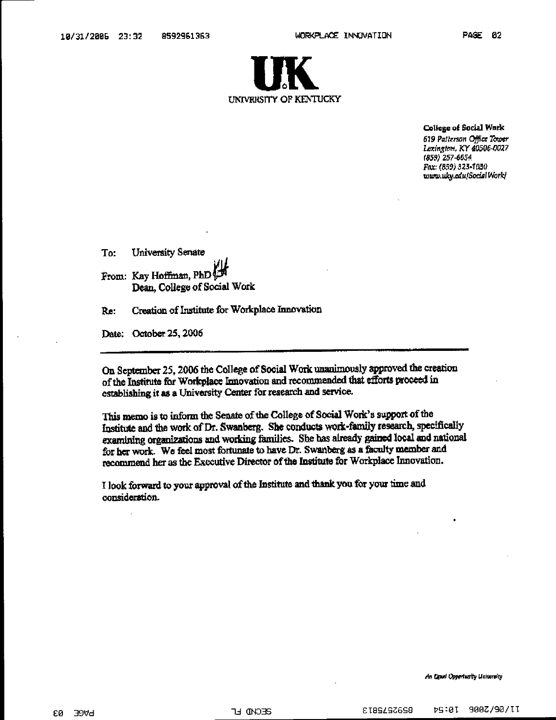

College of Social Work

619 Patterson Office Tower Lexington, KY 40506-0027 (859) 257-6654 Fax: (859) 323-1030 www.uky.edu/SocialWork/

To: **University Senate** From: Kay Hoffman, PhD Dean, College of Social Work

Creation of Institute for Workplace Innovation Re:

Date: October 25, 2006

On September 25, 2006 the College of Social Work unanimously approved the creation of the Institute for Workplace Innovation and recommended that efforts proceed in establishing it as a University Center for research and service.

This memo is to inform the Senate of the College of Social Work's support of the Institute and the work of Dr. Swanberg. She conducts work-family research, specifically examining organizations and working families. She has already gained local and national for her work. We feel most fortunate to have Dr. Swanberg as a faculty member and recommend her as the Executive Director of the Institute for Workplace Innovation.

I look forward to your approval of the Institute and thank you for your time and consideration.

An Equal Opportunity University

£Ø. **BAGE**  **GECMD LF** 

8232292873 tG:01 900Z/90/II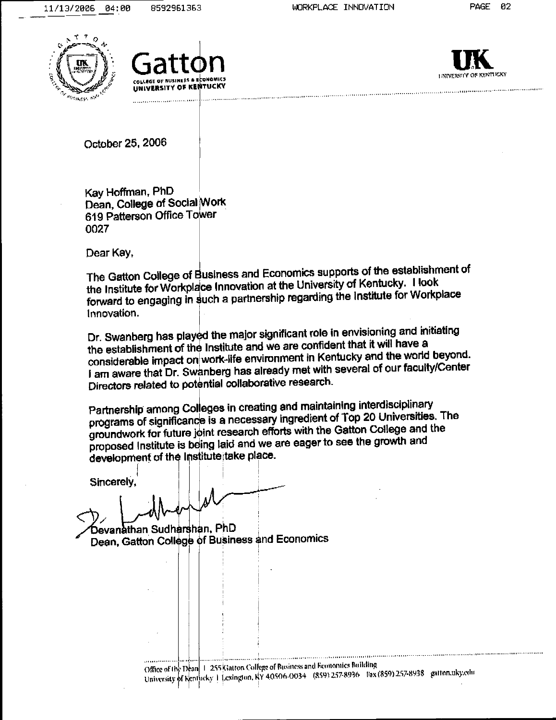





October 25, 2006

Kay Hoffman, PhD Dean, College of Social Work 619 Patterson Office Tower 0027

Dear Kay,

The Gatton College of Business and Economics supports of the establishment of the Institute for Workplace Innovation at the University of Kentucky. I look forward to engaging in such a partnership regarding the Institute for Workplace Innovation.

Dr. Swanberg has played the major significant role in envisioning and initiating the establishment of the Institute and we are confident that it will have a considerable impact on work-life environment in Kentucky and the world beyond. I am aware that Dr. Swanberg has already met with several of our faculty/Center Directors related to potential collaborative research.

Partnership among Colleges in creating and maintaining interdisciplinary programs of significance is a necessary ingredient of Top 20 Universities. The groundwork for future joint research efforts with the Gatton College and the proposed Institute is being laid and we are eager to see the growth and development of the Institute take place.

Sincerely.

Devanathan Sudharshan, PhD Dean, Gatton College of Business and Economics

> Office of the Dean | 1-255 Kiatton College of Business and Economics Building University of Kentheky | Lexington, NY 40506-0034 (859) 257-8936 liax (859) 257-8938 gatton, uky, edu